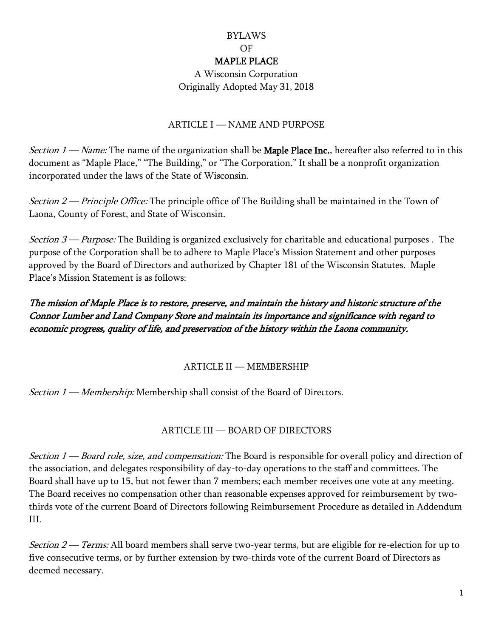## BYLAWS OF MAPLE PLACE

A Wisconsin Corporation Originally Adopted May 31, 2018

#### ARTICLE I — NAME AND PURPOSE

Section  $1 - Name$ : The name of the organization shall be **Maple Place Inc.**, hereafter also referred to in this document as "Maple Place," "The Building," or "The Corporation." It shall be a nonprofit organization incorporated under the laws of the State of Wisconsin.

Section 2 — Principle Office: The principle office of The Building shall be maintained in the Town of Laona, County of Forest, and State of Wisconsin.

Section  $3$  — Purpose: The Building is organized exclusively for charitable and educational purposes. The purpose of the Corporation shall be to adhere to Maple Place's Mission Statement and other purposes approved by the Board of Directors and authorized by Chapter 181 of the Wisconsin Statutes. Maple Place's Mission Statement is as follows:

# The mission of Maple Place is to restore, preserve, and maintain the history and historic structure of the Connor Lumber and Land Company Store and maintain its importance and significance with regard to economic progress, quality of life, and preservation of the history within the Laona community.

## ARTICLE II — MEMBERSHIP

Section 1 — Membership: Membership shall consist of the Board of Directors.

# ARTICLE III — BOARD OF DIRECTORS

Section 1 — Board role, size, and compensation: The Board is responsible for overall policy and direction of the association, and delegates responsibility of day-to-day operations to the staff and committees. The Board shall have up to 15, but not fewer than 7 members; each member receives one vote at any meeting. The Board receives no compensation other than reasonable expenses approved for reimbursement by twothirds vote of the current Board of Directors following Reimbursement Procedure as detailed in Addendum III.

Section  $2$  — Terms: All board members shall serve two-year terms, but are eligible for re-election for up to five consecutive terms, or by further extension by two-thirds vote of the current Board of Directors as deemed necessary.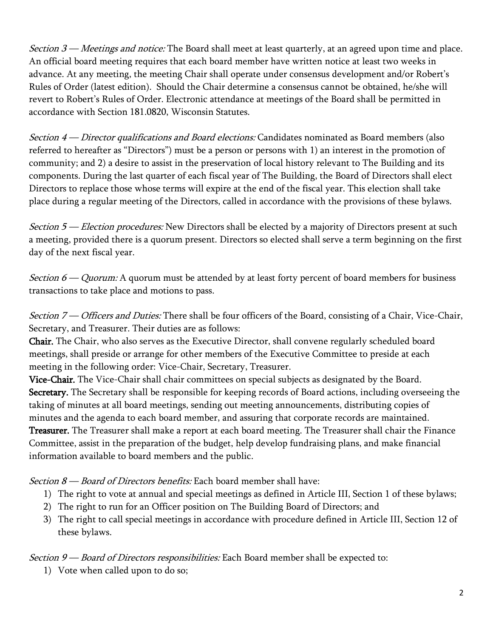Section  $3$  — Meetings and notice: The Board shall meet at least quarterly, at an agreed upon time and place. An official board meeting requires that each board member have written notice at least two weeks in advance. At any meeting, the meeting Chair shall operate under consensus development and/or Robert's Rules of Order (latest edition). Should the Chair determine a consensus cannot be obtained, he/she will revert to Robert's Rules of Order. Electronic attendance at meetings of the Board shall be permitted in accordance with Section 181.0820, Wisconsin Statutes.

Section 4 — Director qualifications and Board elections: Candidates nominated as Board members (also referred to hereafter as "Directors") must be a person or persons with 1) an interest in the promotion of community; and 2) a desire to assist in the preservation of local history relevant to The Building and its components. During the last quarter of each fiscal year of The Building, the Board of Directors shall elect Directors to replace those whose terms will expire at the end of the fiscal year. This election shall take place during a regular meeting of the Directors, called in accordance with the provisions of these bylaws.

Section  $5$  — Election procedures: New Directors shall be elected by a majority of Directors present at such a meeting, provided there is a quorum present. Directors so elected shall serve a term beginning on the first day of the next fiscal year.

*Section 6 — Quorum:* A quorum must be attended by at least forty percent of board members for business transactions to take place and motions to pass.

Section 7 — Officers and Duties: There shall be four officers of the Board, consisting of a Chair, Vice-Chair, Secretary, and Treasurer. Their duties are as follows:

Chair. The Chair, who also serves as the Executive Director, shall convene regularly scheduled board meetings, shall preside or arrange for other members of the Executive Committee to preside at each meeting in the following order: Vice-Chair, Secretary, Treasurer.

Vice-Chair. The Vice-Chair shall chair committees on special subjects as designated by the Board. Secretary. The Secretary shall be responsible for keeping records of Board actions, including overseeing the taking of minutes at all board meetings, sending out meeting announcements, distributing copies of minutes and the agenda to each board member, and assuring that corporate records are maintained. Treasurer. The Treasurer shall make a report at each board meeting. The Treasurer shall chair the Finance Committee, assist in the preparation of the budget, help develop fundraising plans, and make financial information available to board members and the public.

Section  $8$  — Board of Directors benefits: Each board member shall have:

- 1) The right to vote at annual and special meetings as defined in Article III, Section 1 of these bylaws;
- 2) The right to run for an Officer position on The Building Board of Directors; and
- 3) The right to call special meetings in accordance with procedure defined in Article III, Section 12 of these bylaws.

Section 9 — Board of Directors responsibilities: Each Board member shall be expected to:

1) Vote when called upon to do so;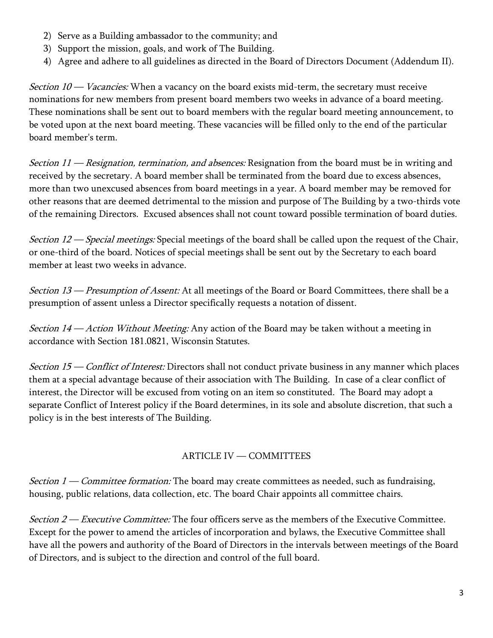- 2) Serve as a Building ambassador to the community; and
- 3) Support the mission, goals, and work of The Building.
- 4) Agree and adhere to all guidelines as directed in the Board of Directors Document (Addendum II).

*Section*  $10$  *— Vacancies:* When a vacancy on the board exists mid-term, the secretary must receive nominations for new members from present board members two weeks in advance of a board meeting. These nominations shall be sent out to board members with the regular board meeting announcement, to be voted upon at the next board meeting. These vacancies will be filled only to the end of the particular board member's term.

*Section 11* — *Resignation, termination, and absences:* Resignation from the board must be in writing and received by the secretary. A board member shall be terminated from the board due to excess absences, more than two unexcused absences from board meetings in a year. A board member may be removed for other reasons that are deemed detrimental to the mission and purpose of The Building by a two-thirds vote of the remaining Directors. Excused absences shall not count toward possible termination of board duties.

Section  $12$  — Special meetings: Special meetings of the board shall be called upon the request of the Chair, or one-third of the board. Notices of special meetings shall be sent out by the Secretary to each board member at least two weeks in advance.

Section 13 — Presumption of Assent: At all meetings of the Board or Board Committees, there shall be a presumption of assent unless a Director specifically requests a notation of dissent.

Section  $14$  – Action Without Meeting: Any action of the Board may be taken without a meeting in accordance with Section 181.0821, Wisconsin Statutes.

Section 15 — Conflict of Interest: Directors shall not conduct private business in any manner which places them at a special advantage because of their association with The Building. In case of a clear conflict of interest, the Director will be excused from voting on an item so constituted. The Board may adopt a separate Conflict of Interest policy if the Board determines, in its sole and absolute discretion, that such a policy is in the best interests of The Building.

## ARTICLE IV — COMMITTEES

*Section 1* — *Committee formation:* The board may create committees as needed, such as fundraising, housing, public relations, data collection, etc. The board Chair appoints all committee chairs.

Section 2 — Executive Committee: The four officers serve as the members of the Executive Committee. Except for the power to amend the articles of incorporation and bylaws, the Executive Committee shall have all the powers and authority of the Board of Directors in the intervals between meetings of the Board of Directors, and is subject to the direction and control of the full board.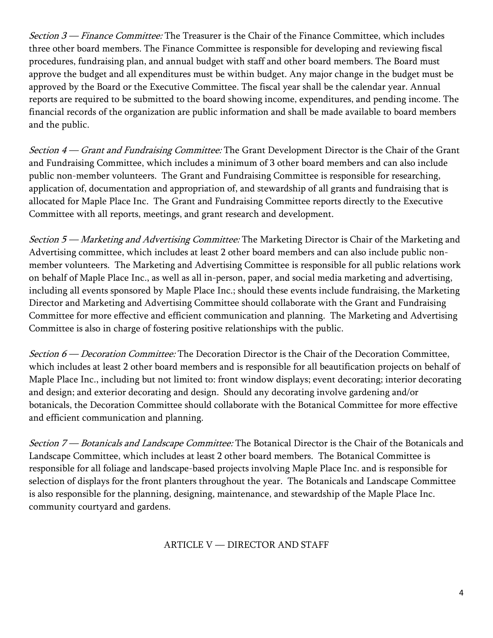Section  $3$  — Finance Committee: The Treasurer is the Chair of the Finance Committee, which includes three other board members. The Finance Committee is responsible for developing and reviewing fiscal procedures, fundraising plan, and annual budget with staff and other board members. The Board must approve the budget and all expenditures must be within budget. Any major change in the budget must be approved by the Board or the Executive Committee. The fiscal year shall be the calendar year. Annual reports are required to be submitted to the board showing income, expenditures, and pending income. The financial records of the organization are public information and shall be made available to board members and the public.

Section 4 — Grant and Fundraising Committee: The Grant Development Director is the Chair of the Grant and Fundraising Committee, which includes a minimum of 3 other board members and can also include public non-member volunteers. The Grant and Fundraising Committee is responsible for researching, application of, documentation and appropriation of, and stewardship of all grants and fundraising that is allocated for Maple Place Inc. The Grant and Fundraising Committee reports directly to the Executive Committee with all reports, meetings, and grant research and development.

Section 5 — Marketing and Advertising Committee: The Marketing Director is Chair of the Marketing and Advertising committee, which includes at least 2 other board members and can also include public nonmember volunteers. The Marketing and Advertising Committee is responsible for all public relations work on behalf of Maple Place Inc., as well as all in-person, paper, and social media marketing and advertising, including all events sponsored by Maple Place Inc.; should these events include fundraising, the Marketing Director and Marketing and Advertising Committee should collaborate with the Grant and Fundraising Committee for more effective and efficient communication and planning. The Marketing and Advertising Committee is also in charge of fostering positive relationships with the public.

Section 6 — Decoration Committee: The Decoration Director is the Chair of the Decoration Committee, which includes at least 2 other board members and is responsible for all beautification projects on behalf of Maple Place Inc., including but not limited to: front window displays; event decorating; interior decorating and design; and exterior decorating and design. Should any decorating involve gardening and/or botanicals, the Decoration Committee should collaborate with the Botanical Committee for more effective and efficient communication and planning.

Section 7 — Botanicals and Landscape Committee: The Botanical Director is the Chair of the Botanicals and Landscape Committee, which includes at least 2 other board members. The Botanical Committee is responsible for all foliage and landscape-based projects involving Maple Place Inc. and is responsible for selection of displays for the front planters throughout the year. The Botanicals and Landscape Committee is also responsible for the planning, designing, maintenance, and stewardship of the Maple Place Inc. community courtyard and gardens.

ARTICLE V — DIRECTOR AND STAFF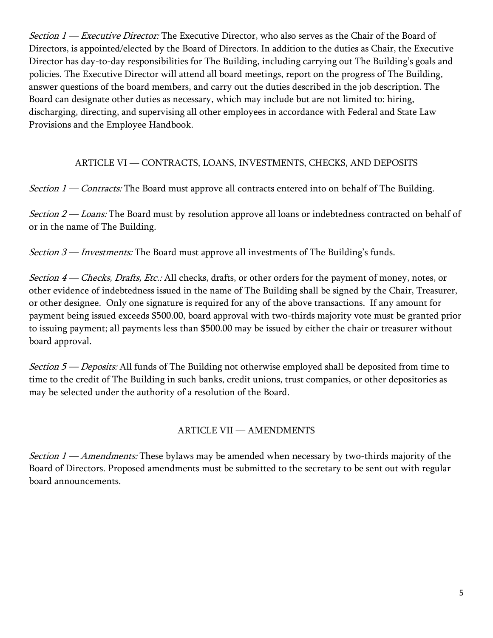Section  $1$  — Executive Director: The Executive Director, who also serves as the Chair of the Board of Directors, is appointed/elected by the Board of Directors. In addition to the duties as Chair, the Executive Director has day-to-day responsibilities for The Building, including carrying out The Building's goals and policies. The Executive Director will attend all board meetings, report on the progress of The Building, answer questions of the board members, and carry out the duties described in the job description. The Board can designate other duties as necessary, which may include but are not limited to: hiring, discharging, directing, and supervising all other employees in accordance with Federal and State Law Provisions and the Employee Handbook.

## ARTICLE VI — CONTRACTS, LOANS, INVESTMENTS, CHECKS, AND DEPOSITS

*Section 1* — *Contracts:* The Board must approve all contracts entered into on behalf of The Building.

Section  $2 -$  Loans: The Board must by resolution approve all loans or indebtedness contracted on behalf of or in the name of The Building.

*Section*  $3$  *— Investments:* The Board must approve all investments of The Building's funds.

Section 4 – Checks, Drafts, Etc.: All checks, drafts, or other orders for the payment of money, notes, or other evidence of indebtedness issued in the name of The Building shall be signed by the Chair, Treasurer, or other designee. Only one signature is required for any of the above transactions. If any amount for payment being issued exceeds \$500.00, board approval with two-thirds majority vote must be granted prior to issuing payment; all payments less than \$500.00 may be issued by either the chair or treasurer without board approval.

Section 5 — Deposits: All funds of The Building not otherwise employed shall be deposited from time to time to the credit of The Building in such banks, credit unions, trust companies, or other depositories as may be selected under the authority of a resolution of the Board.

# ARTICLE VII — AMENDMENTS

*Section*  $1 - A$  *mendments:* These bylaws may be amended when necessary by two-thirds majority of the Board of Directors. Proposed amendments must be submitted to the secretary to be sent out with regular board announcements.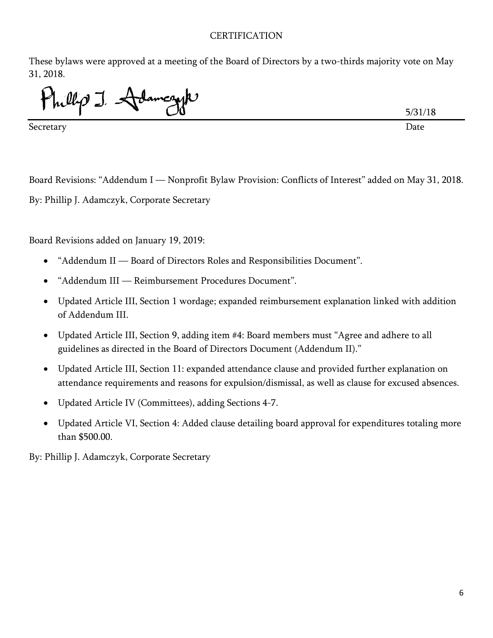#### **CERTIFICATION**

These bylaws were approved at a meeting of the Board of Directors by a two-thirds majority vote on May 31, 2018.

Inllip J. Adameryk

Secretary Date

5/31/18

Board Revisions: "Addendum I — Nonprofit Bylaw Provision: Conflicts of Interest" added on May 31, 2018. By: Phillip J. Adamczyk, Corporate Secretary

Board Revisions added on January 19, 2019:

- "Addendum II Board of Directors Roles and Responsibilities Document".
- "Addendum III Reimbursement Procedures Document".
- Updated Article III, Section 1 wordage; expanded reimbursement explanation linked with addition of Addendum III.
- Updated Article III, Section 9, adding item #4: Board members must "Agree and adhere to all guidelines as directed in the Board of Directors Document (Addendum II)."
- Updated Article III, Section 11: expanded attendance clause and provided further explanation on attendance requirements and reasons for expulsion/dismissal, as well as clause for excused absences.
- Updated Article IV (Committees), adding Sections 4-7.
- Updated Article VI, Section 4: Added clause detailing board approval for expenditures totaling more than \$500.00.

By: Phillip J. Adamczyk, Corporate Secretary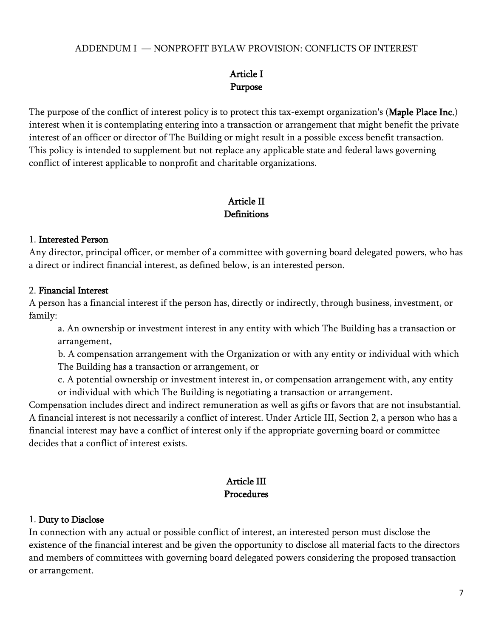#### ADDENDUM I — NONPROFIT BYLAW PROVISION: CONFLICTS OF INTEREST

# Article I Purpose

The purpose of the conflict of interest policy is to protect this tax-exempt organization's (Maple Place Inc.) interest when it is contemplating entering into a transaction or arrangement that might benefit the private interest of an officer or director of The Building or might result in a possible excess benefit transaction. This policy is intended to supplement but not replace any applicable state and federal laws governing conflict of interest applicable to nonprofit and charitable organizations.

# Article II **Definitions**

#### 1. Interested Person

Any director, principal officer, or member of a committee with governing board delegated powers, who has a direct or indirect financial interest, as defined below, is an interested person.

#### 2. Financial Interest

A person has a financial interest if the person has, directly or indirectly, through business, investment, or family:

a. An ownership or investment interest in any entity with which The Building has a transaction or arrangement,

b. A compensation arrangement with the Organization or with any entity or individual with which The Building has a transaction or arrangement, or

c. A potential ownership or investment interest in, or compensation arrangement with, any entity or individual with which The Building is negotiating a transaction or arrangement.

Compensation includes direct and indirect remuneration as well as gifts or favors that are not insubstantial. A financial interest is not necessarily a conflict of interest. Under Article III, Section 2, a person who has a financial interest may have a conflict of interest only if the appropriate governing board or committee decides that a conflict of interest exists.

# Article III Procedures

#### 1. Duty to Disclose

In connection with any actual or possible conflict of interest, an interested person must disclose the existence of the financial interest and be given the opportunity to disclose all material facts to the directors and members of committees with governing board delegated powers considering the proposed transaction or arrangement.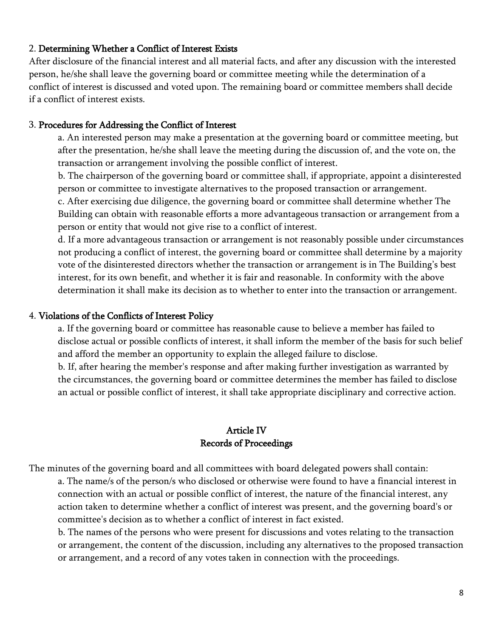#### 2. Determining Whether a Conflict of Interest Exists

After disclosure of the financial interest and all material facts, and after any discussion with the interested person, he/she shall leave the governing board or committee meeting while the determination of a conflict of interest is discussed and voted upon. The remaining board or committee members shall decide if a conflict of interest exists.

#### 3. Procedures for Addressing the Conflict of Interest

a. An interested person may make a presentation at the governing board or committee meeting, but after the presentation, he/she shall leave the meeting during the discussion of, and the vote on, the transaction or arrangement involving the possible conflict of interest.

b. The chairperson of the governing board or committee shall, if appropriate, appoint a disinterested person or committee to investigate alternatives to the proposed transaction or arrangement.

c. After exercising due diligence, the governing board or committee shall determine whether The Building can obtain with reasonable efforts a more advantageous transaction or arrangement from a person or entity that would not give rise to a conflict of interest.

d. If a more advantageous transaction or arrangement is not reasonably possible under circumstances not producing a conflict of interest, the governing board or committee shall determine by a majority vote of the disinterested directors whether the transaction or arrangement is in The Building's best interest, for its own benefit, and whether it is fair and reasonable. In conformity with the above determination it shall make its decision as to whether to enter into the transaction or arrangement.

#### 4. Violations of the Conflicts of Interest Policy

a. If the governing board or committee has reasonable cause to believe a member has failed to disclose actual or possible conflicts of interest, it shall inform the member of the basis for such belief and afford the member an opportunity to explain the alleged failure to disclose.

b. If, after hearing the member's response and after making further investigation as warranted by the circumstances, the governing board or committee determines the member has failed to disclose an actual or possible conflict of interest, it shall take appropriate disciplinary and corrective action.

## Article IV Records of Proceedings

The minutes of the governing board and all committees with board delegated powers shall contain: a. The name/s of the person/s who disclosed or otherwise were found to have a financial interest in connection with an actual or possible conflict of interest, the nature of the financial interest, any action taken to determine whether a conflict of interest was present, and the governing board's or committee's decision as to whether a conflict of interest in fact existed.

b. The names of the persons who were present for discussions and votes relating to the transaction or arrangement, the content of the discussion, including any alternatives to the proposed transaction or arrangement, and a record of any votes taken in connection with the proceedings.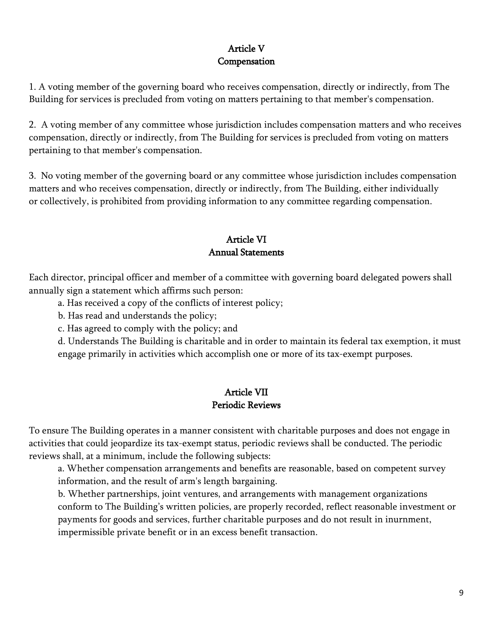# Article V Compensation

1. A voting member of the governing board who receives compensation, directly or indirectly, from The Building for services is precluded from voting on matters pertaining to that member's compensation.

2. A voting member of any committee whose jurisdiction includes compensation matters and who receives compensation, directly or indirectly, from The Building for services is precluded from voting on matters pertaining to that member's compensation.

3. No voting member of the governing board or any committee whose jurisdiction includes compensation matters and who receives compensation, directly or indirectly, from The Building, either individually or collectively, is prohibited from providing information to any committee regarding compensation.

# Article VI Annual Statements

Each director, principal officer and member of a committee with governing board delegated powers shall annually sign a statement which affirms such person:

- a. Has received a copy of the conflicts of interest policy;
- b. Has read and understands the policy;
- c. Has agreed to comply with the policy; and

d. Understands The Building is charitable and in order to maintain its federal tax exemption, it must engage primarily in activities which accomplish one or more of its tax-exempt purposes.

# Article VII Periodic Reviews

To ensure The Building operates in a manner consistent with charitable purposes and does not engage in activities that could jeopardize its tax-exempt status, periodic reviews shall be conducted. The periodic reviews shall, at a minimum, include the following subjects:

a. Whether compensation arrangements and benefits are reasonable, based on competent survey information, and the result of arm's length bargaining.

b. Whether partnerships, joint ventures, and arrangements with management organizations conform to The Building's written policies, are properly recorded, reflect reasonable investment or payments for goods and services, further charitable purposes and do not result in inurnment, impermissible private benefit or in an excess benefit transaction.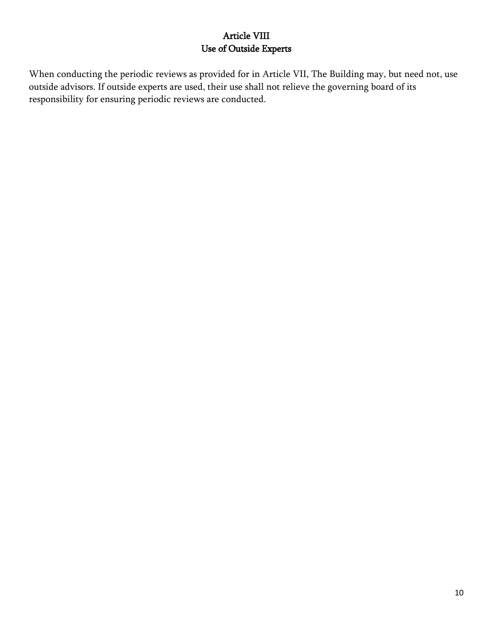# Article VIII Use of Outside Experts

When conducting the periodic reviews as provided for in Article VII, The Building may, but need not, use outside advisors. If outside experts are used, their use shall not relieve the governing board of its responsibility for ensuring periodic reviews are conducted.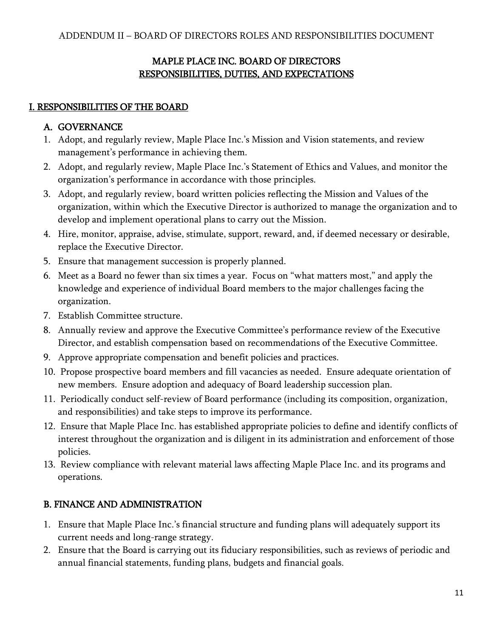# MAPLE PLACE INC. BOARD OF DIRECTORS RESPONSIBILITIES, DUTIES, AND EXPECTATIONS

## I. RESPONSIBILITIES OF THE BOARD

## A. GOVERNANCE

- 1. Adopt, and regularly review, Maple Place Inc.'s Mission and Vision statements, and review management's performance in achieving them.
- 2. Adopt, and regularly review, Maple Place Inc.'s Statement of Ethics and Values, and monitor the organization's performance in accordance with those principles.
- 3. Adopt, and regularly review, board written policies reflecting the Mission and Values of the organization, within which the Executive Director is authorized to manage the organization and to develop and implement operational plans to carry out the Mission.
- 4. Hire, monitor, appraise, advise, stimulate, support, reward, and, if deemed necessary or desirable, replace the Executive Director.
- 5. Ensure that management succession is properly planned.
- 6. Meet as a Board no fewer than six times a year. Focus on "what matters most," and apply the knowledge and experience of individual Board members to the major challenges facing the organization.
- 7. Establish Committee structure.
- 8. Annually review and approve the Executive Committee's performance review of the Executive Director, and establish compensation based on recommendations of the Executive Committee.
- 9. Approve appropriate compensation and benefit policies and practices.
- 10. Propose prospective board members and fill vacancies as needed. Ensure adequate orientation of new members. Ensure adoption and adequacy of Board leadership succession plan.
- 11. Periodically conduct self-review of Board performance (including its composition, organization, and responsibilities) and take steps to improve its performance.
- 12. Ensure that Maple Place Inc. has established appropriate policies to define and identify conflicts of interest throughout the organization and is diligent in its administration and enforcement of those policies.
- 13. Review compliance with relevant material laws affecting Maple Place Inc. and its programs and operations.

# B. FINANCE AND ADMINISTRATION

- 1. Ensure that Maple Place Inc.'s financial structure and funding plans will adequately support its current needs and long-range strategy.
- 2. Ensure that the Board is carrying out its fiduciary responsibilities, such as reviews of periodic and annual financial statements, funding plans, budgets and financial goals.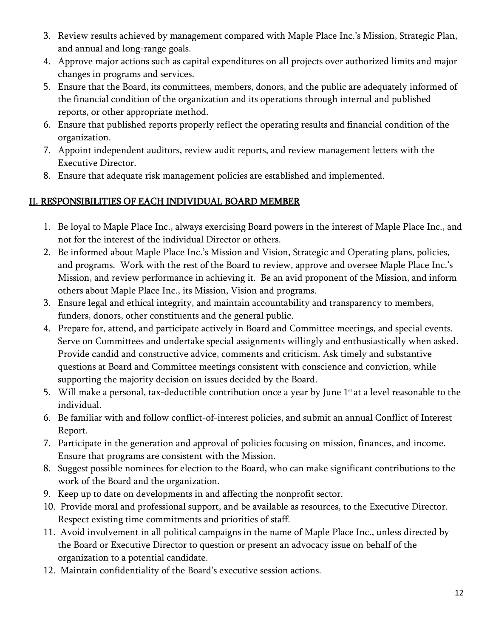- 3. Review results achieved by management compared with Maple Place Inc.'s Mission, Strategic Plan, and annual and long-range goals.
- 4. Approve major actions such as capital expenditures on all projects over authorized limits and major changes in programs and services.
- 5. Ensure that the Board, its committees, members, donors, and the public are adequately informed of the financial condition of the organization and its operations through internal and published reports, or other appropriate method.
- 6. Ensure that published reports properly reflect the operating results and financial condition of the organization.
- 7. Appoint independent auditors, review audit reports, and review management letters with the Executive Director.
- 8. Ensure that adequate risk management policies are established and implemented.

# II. RESPONSIBILITIES OF EACH INDIVIDUAL BOARD MEMBER

- 1. Be loyal to Maple Place Inc., always exercising Board powers in the interest of Maple Place Inc., and not for the interest of the individual Director or others.
- 2. Be informed about Maple Place Inc.'s Mission and Vision, Strategic and Operating plans, policies, and programs. Work with the rest of the Board to review, approve and oversee Maple Place Inc.'s Mission, and review performance in achieving it. Be an avid proponent of the Mission, and inform others about Maple Place Inc., its Mission, Vision and programs.
- 3. Ensure legal and ethical integrity, and maintain accountability and transparency to members, funders, donors, other constituents and the general public.
- 4. Prepare for, attend, and participate actively in Board and Committee meetings, and special events. Serve on Committees and undertake special assignments willingly and enthusiastically when asked. Provide candid and constructive advice, comments and criticism. Ask timely and substantive questions at Board and Committee meetings consistent with conscience and conviction, while supporting the majority decision on issues decided by the Board.
- 5. Will make a personal, tax-deductible contribution once a year by June  $1<sup>st</sup>$  at a level reasonable to the individual.
- 6. Be familiar with and follow conflict-of-interest policies, and submit an annual Conflict of Interest Report.
- 7. Participate in the generation and approval of policies focusing on mission, finances, and income. Ensure that programs are consistent with the Mission.
- 8. Suggest possible nominees for election to the Board, who can make significant contributions to the work of the Board and the organization.
- 9. Keep up to date on developments in and affecting the nonprofit sector.
- 10. Provide moral and professional support, and be available as resources, to the Executive Director. Respect existing time commitments and priorities of staff.
- 11. Avoid involvement in all political campaigns in the name of Maple Place Inc., unless directed by the Board or Executive Director to question or present an advocacy issue on behalf of the organization to a potential candidate.
- 12. Maintain confidentiality of the Board's executive session actions.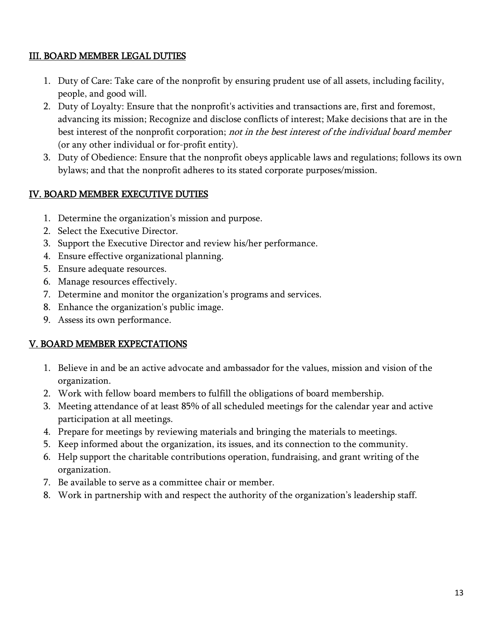## III. BOARD MEMBER LEGAL DUTIES

- 1. Duty of Care: Take care of the nonprofit by ensuring prudent use of all assets, including facility, people, and good will.
- 2. Duty of Loyalty: Ensure that the nonprofit's activities and transactions are, first and foremost, advancing its mission; Recognize and disclose conflicts of interest; Make decisions that are in the best interest of the nonprofit corporation; not in the best interest of the individual board member (or any other individual or for-profit entity).
- 3. Duty of Obedience: Ensure that the nonprofit obeys applicable laws and regulations; follows its own bylaws; and that the nonprofit adheres to its stated corporate purposes/mission.

## IV. BOARD MEMBER EXECUTIVE DUTIES

- 1. Determine the organization's mission and purpose.
- 2. Select the Executive Director.
- 3. Support the Executive Director and review his/her performance.
- 4. Ensure effective organizational planning.
- 5. Ensure adequate resources.
- 6. Manage resources effectively.
- 7. Determine and monitor the organization's programs and services.
- 8. Enhance the organization's public image.
- 9. Assess its own performance.

## V. BOARD MEMBER EXPECTATIONS

- 1. Believe in and be an active advocate and ambassador for the values, mission and vision of the organization.
- 2. Work with fellow board members to fulfill the obligations of board membership.
- 3. Meeting attendance of at least 85% of all scheduled meetings for the calendar year and active participation at all meetings.
- 4. Prepare for meetings by reviewing materials and bringing the materials to meetings.
- 5. Keep informed about the organization, its issues, and its connection to the community.
- 6. Help support the charitable contributions operation, fundraising, and grant writing of the organization.
- 7. Be available to serve as a committee chair or member.
- 8. Work in partnership with and respect the authority of the organization's leadership staff.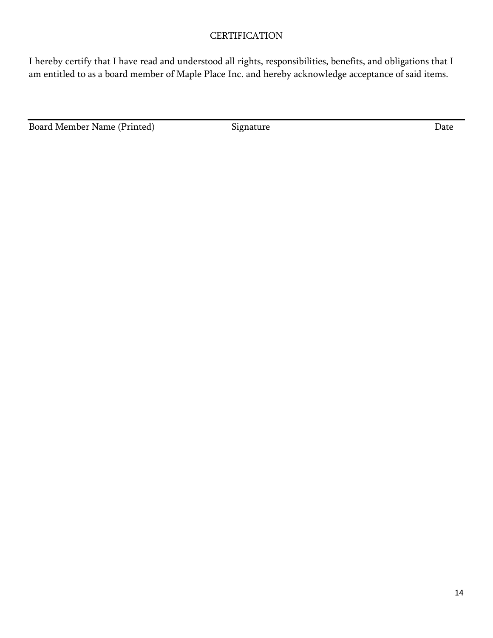## **CERTIFICATION**

I hereby certify that I have read and understood all rights, responsibilities, benefits, and obligations that I am entitled to as a board member of Maple Place Inc. and hereby acknowledge acceptance of said items.

Board Member Name (Printed) Signature Signature Date